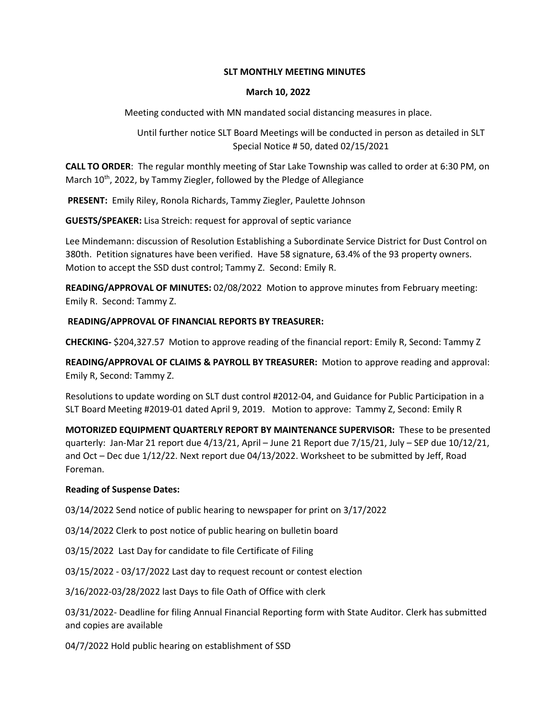# **SLT MONTHLY MEETING MINUTES**

# **March 10, 2022**

Meeting conducted with MN mandated social distancing measures in place.

Until further notice SLT Board Meetings will be conducted in person as detailed in SLT Special Notice # 50, dated 02/15/2021

**CALL TO ORDER**: The regular monthly meeting of Star Lake Township was called to order at 6:30 PM, on March 10<sup>th</sup>, 2022, by Tammy Ziegler, followed by the Pledge of Allegiance

**PRESENT:** Emily Riley, Ronola Richards, Tammy Ziegler, Paulette Johnson

**GUESTS/SPEAKER:** Lisa Streich: request for approval of septic variance

Lee Mindemann: discussion of Resolution Establishing a Subordinate Service District for Dust Control on 380th. Petition signatures have been verified. Have 58 signature, 63.4% of the 93 property owners. Motion to accept the SSD dust control; Tammy Z. Second: Emily R.

**READING/APPROVAL OF MINUTES:** 02/08/2022 Motion to approve minutes from February meeting: Emily R. Second: Tammy Z.

# **READING/APPROVAL OF FINANCIAL REPORTS BY TREASURER:**

**CHECKING-** \$204,327.57 Motion to approve reading of the financial report: Emily R, Second: Tammy Z

**READING/APPROVAL OF CLAIMS & PAYROLL BY TREASURER:** Motion to approve reading and approval: Emily R, Second: Tammy Z.

Resolutions to update wording on SLT dust control #2012-04, and Guidance for Public Participation in a SLT Board Meeting #2019-01 dated April 9, 2019. Motion to approve: Tammy Z, Second: Emily R

**MOTORIZED EQUIPMENT QUARTERLY REPORT BY MAINTENANCE SUPERVISOR:** These to be presented quarterly: Jan-Mar 21 report due 4/13/21, April – June 21 Report due 7/15/21, July – SEP due 10/12/21, and Oct – Dec due 1/12/22. Next report due 04/13/2022. Worksheet to be submitted by Jeff, Road Foreman.

# **Reading of Suspense Dates:**

03/14/2022 Send notice of public hearing to newspaper for print on 3/17/2022

03/14/2022 Clerk to post notice of public hearing on bulletin board

03/15/2022 Last Day for candidate to file Certificate of Filing

03/15/2022 - 03/17/2022 Last day to request recount or contest election

3/16/2022-03/28/2022 last Days to file Oath of Office with clerk

03/31/2022- Deadline for filing Annual Financial Reporting form with State Auditor. Clerk has submitted and copies are available

04/7/2022 Hold public hearing on establishment of SSD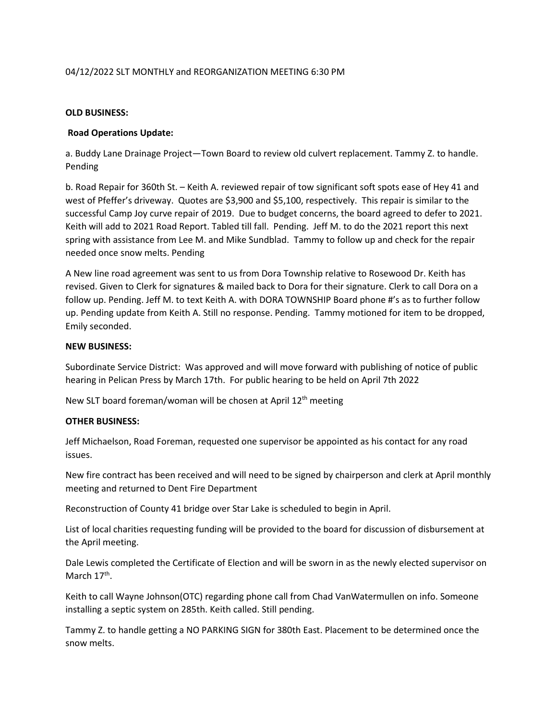# 04/12/2022 SLT MONTHLY and REORGANIZATION MEETING 6:30 PM

#### **OLD BUSINESS:**

### **Road Operations Update:**

a. Buddy Lane Drainage Project—Town Board to review old culvert replacement. Tammy Z. to handle. Pending

b. Road Repair for 360th St. – Keith A. reviewed repair of tow significant soft spots ease of Hey 41 and west of Pfeffer's driveway. Quotes are \$3,900 and \$5,100, respectively. This repair is similar to the successful Camp Joy curve repair of 2019. Due to budget concerns, the board agreed to defer to 2021. Keith will add to 2021 Road Report. Tabled till fall. Pending. Jeff M. to do the 2021 report this next spring with assistance from Lee M. and Mike Sundblad. Tammy to follow up and check for the repair needed once snow melts. Pending

A New line road agreement was sent to us from Dora Township relative to Rosewood Dr. Keith has revised. Given to Clerk for signatures & mailed back to Dora for their signature. Clerk to call Dora on a follow up. Pending. Jeff M. to text Keith A. with DORA TOWNSHIP Board phone #'s as to further follow up. Pending update from Keith A. Still no response. Pending. Tammy motioned for item to be dropped, Emily seconded.

#### **NEW BUSINESS:**

Subordinate Service District: Was approved and will move forward with publishing of notice of public hearing in Pelican Press by March 17th. For public hearing to be held on April 7th 2022

New SLT board foreman/woman will be chosen at April 12<sup>th</sup> meeting

# **OTHER BUSINESS:**

Jeff Michaelson, Road Foreman, requested one supervisor be appointed as his contact for any road issues.

New fire contract has been received and will need to be signed by chairperson and clerk at April monthly meeting and returned to Dent Fire Department

Reconstruction of County 41 bridge over Star Lake is scheduled to begin in April.

List of local charities requesting funding will be provided to the board for discussion of disbursement at the April meeting.

Dale Lewis completed the Certificate of Election and will be sworn in as the newly elected supervisor on March 17<sup>th</sup>.

Keith to call Wayne Johnson(OTC) regarding phone call from Chad VanWatermullen on info. Someone installing a septic system on 285th. Keith called. Still pending.

Tammy Z. to handle getting a NO PARKING SIGN for 380th East. Placement to be determined once the snow melts.